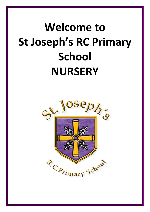# **Welcome to St Joseph's RC Primary School NURSERY**

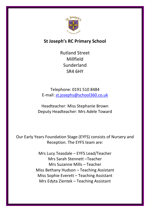

# **St Joseph's RC Primary School**

Rutland Street Millfield Sunderland SR4 6HY

Telephone: 0191 510 8484 E-mail: [st.josephs@school360.co.uk](mailto:st.josephs@school360.co.uk)

Headteacher: Miss Stephanie Brown Deputy Headteacher: Mrs Adele Toward

Our Early Years Foundation Stage (EYFS) consists of Nursery and Reception. The EYFS team are:

> Mrs Lucy Teasdale – EYFS Lead/Teacher Mrs Sarah Stennett –Teacher Mrs Suzanne Mills – Teacher Miss Bethany Hudson – Teaching Assistant Miss Sophie Everett – Teaching Assistant Mrs Edyta Zientek – Teaching Assistant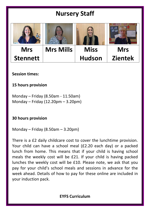# **Nursery Staff**



# **Session times:**

# **15 hours provision**

Monday – Friday (8.50am - 11.50am) Monday – Friday (12.20pm – 3.20pm)

**30 hours provision**

Monday – Friday (8.50am – 3.20pm)

There is a £2 daily childcare cost to cover the lunchtime provision. Your child can have a school meal (£2.20 each day) or a packed lunch from home. This means that if your child is having school meals the weekly cost will be £21. If your child is having packed lunches the weekly cost will be £10. Please note, we ask that you pay for your child's school meals and sessions in advance for the week ahead. Details of how to pay for these online are included in your induction pack.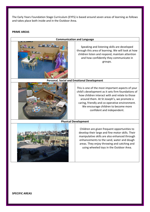The Early Years Foundation Stage Curriculum (EYFS) is based around seven areas of learning as follows and takes place both inside and in the Outdoor Area.

#### **PRIME AREAS**

### **Communication and Language**



Speaking and listening skills are developed through this area of learning. We will look at how children listen and respond, maintain attention and how confidently they communicate in groups.

# **Personal, Social and Emotional Development**



This is one of the most important aspects of your child's development as it sets firm foundations of how children interact with and relate to those around them. At St Joseph's, we promote a caring, friendly and co-operative environment. We encourage children to become more confident and independent.

# **Physical Development**

Children are given frequent opportunities to develop their large and fine motor skills. Their manipulative skills are also enhanced through enhancements to the sand, water and dough areas. They enjoy throwing and catching and using wheeled toys in the Outdoor Area.



**SPECIFIC AREAS**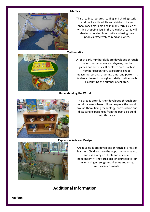#### **Literacy**



This area incorporates reading and sharing stories and books with adults and children. It also encourages mark making in many forms such as writing shopping lists in the role play area. It will also incorporate phonic skills and using their phonics effectively to read and write.

**Mathematics**



A lot of early number skills are developed through singing number songs and rhymes, number games and activities. It explores areas such as number recognition, calculating, shape, measuring, sorting, ordering, time, and pattern. It is also addressed through our daily routine, such as counting the number of children.

#### **Understanding the World**



This area is often further developed through our outdoor area where children explore the world around them. Using technology, construction and discussing experiences from the past also build into this area.

# **Expressive Arts and Design**

Creative skills are developed through all areas of learning. Children have the opportunity to select and use a range of tools and materials independently. They area also encouraged to join in with singing songs and rhymes and using musical instruments.

# **Additional Information**

**Uniform**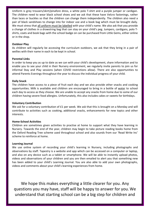Uniform is grey trousers/skirt/pinafore dress, a white polo T-shirt and a purple jumper or cardigan. The children need to wear black school shoes and we ask that these have Velcro fastenings, rather than laces or buckles so that the children can change them independently. The children also need a pair of black sandshoes to change into for indoor use and a book bag which must be brought daily. We must stress that all uniform must be labelled with your child's name. We also ask that you provide a change of clothes in a drawstring bag that can stay on your child's peg. Jumpers, cardigans, polo Tshirts, coats and book bags with the school badge on can be purchased from Little Gems, either online or in the shop.

# **Outdoor Play**

As children will regularly be accessing the curriculum outdoors, we ask that they bring in a pair of wellies with their name in each to be kept in school.

# **Parental Links**

In order to keep you as up to date as we can with your child's development, share information and to enable you to see your child in their Nursery environment, we regularly invite parents to join us for informal Stay and Play sessions (when COVID restrictions allow). There are also opportunities to attend Parents Evenings throughout the year to discuss the individual progress of your child.

# **Daily Snack**

The children have access to a piece of fruit each day and we also provide other snacks and cooking opportunities. Milk is available and children are encouraged to bring in a bottle of water to school each day to access as they choose. We are unable to accept any snacks from home due to some of our children having severe food allergies. Unfortunately, this also includes cakes or sweets for birthdays.

# **Voluntary Contribution**

We ask for a voluntary contribution of £1 per week. We ask that this is brought on a Monday and will contribute to activities such as cooking, additional snacks, enhancements for new topics and other interests.

# **Home-School Activities**

Children are sometimes given activities to practise at home to support what they have learning in Nursery. Towards the end of the year, children may begin to take picture reading books home from the Oxford Reading Tree scheme used throughout school and also sounds from our 'Read Write Inc' scheme to reinforce at home.

# **Learning Journal**

We use online system of recording your child's learning in Nursery, including photographs and observations by staff. Tapestry is a website and app which can be accessed on a computer or laptop, and also on any device such as a tablet or smartphone. We will be able to instantly upload photos, videos and observations of your children and you are then emailed to alert you that something new has been added to your child's Learning Journal. You are also able to add your own photographs, videos and comments about your child's learning experiences from home.

We hope this makes everything a little clearer for you. Any questions you may have, staff will be happy to answer for you. We understand that starting school can be a big step for children and